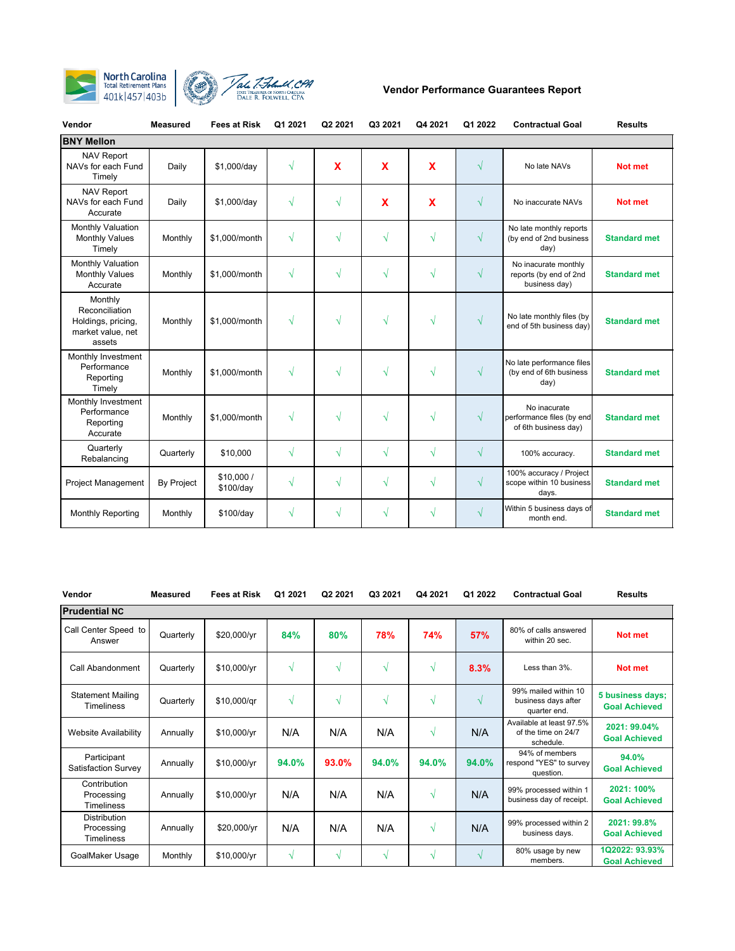



| Vendor                                                                         | <b>Measured</b>   | <b>Fees at Risk</b>    | Q1 2021   | Q2 2021    | Q3 2021                   | Q4 2021    | Q1 2022    | <b>Contractual Goal</b>                                           | <b>Results</b>      |
|--------------------------------------------------------------------------------|-------------------|------------------------|-----------|------------|---------------------------|------------|------------|-------------------------------------------------------------------|---------------------|
| <b>BNY Mellon</b>                                                              |                   |                        |           |            |                           |            |            |                                                                   |                     |
| <b>NAV Report</b><br>NAVs for each Fund<br>Timely                              | Daily             | \$1,000/day            | $\sqrt{}$ | X          | X                         | X          | $\sqrt{}$  | No late NAVs                                                      | Not met             |
| <b>NAV Report</b><br>NAVs for each Fund<br>Accurate                            | Daily             | \$1,000/day            | $\sqrt{}$ | $\sqrt{}$  | $\boldsymbol{\mathsf{x}}$ | X          | $\sqrt{ }$ | No inaccurate NAVs                                                | Not met             |
| Monthly Valuation<br><b>Monthly Values</b><br>Timely                           | Monthly           | \$1,000/month          | $\sqrt{}$ | $\sqrt{}$  | √                         | $\sqrt{ }$ | $\sqrt{}$  | No late monthly reports<br>(by end of 2nd business<br>day)        | <b>Standard met</b> |
| Monthly Valuation<br><b>Monthly Values</b><br>Accurate                         | Monthly           | \$1,000/month          | $\sqrt{}$ | V          | √                         | $\sqrt{ }$ | $\sqrt{ }$ | No inacurate monthly<br>reports (by end of 2nd<br>business day)   | <b>Standard met</b> |
| Monthly<br>Reconciliation<br>Holdings, pricing,<br>market value, net<br>assets | Monthly           | \$1,000/month          | √         | $\sqrt{ }$ | V                         | $\sqrt{ }$ | $\sqrt{}$  | No late monthly files (by<br>end of 5th business day)             | <b>Standard met</b> |
| Monthly Investment<br>Performance<br>Reporting<br>Timely                       | Monthly           | \$1,000/month          | $\sqrt{}$ | $\sqrt{ }$ | √                         | $\sqrt{ }$ | $\sqrt{}$  | No late performance files<br>(by end of 6th business<br>day)      | <b>Standard met</b> |
| Monthly Investment<br>Performance<br>Reporting<br>Accurate                     | Monthly           | \$1,000/month          | $\sqrt{}$ | V          | V                         | $\sqrt{ }$ | $\sqrt{ }$ | No inacurate<br>performance files (by end<br>of 6th business day) | <b>Standard met</b> |
| Quarterly<br>Rebalancing                                                       | Quarterly         | \$10,000               | $\sqrt{}$ | √          | √                         | $\sqrt{ }$ | $\sqrt{}$  | 100% accuracy.                                                    | <b>Standard met</b> |
| <b>Project Management</b>                                                      | <b>By Project</b> | \$10,000/<br>\$100/day | $\sqrt{}$ | $\sqrt{}$  | √                         | $\sqrt{ }$ | $\sqrt{}$  | 100% accuracy / Project<br>scope within 10 business<br>days.      | <b>Standard met</b> |
| <b>Monthly Reporting</b>                                                       | Monthly           | \$100/day              | $\sqrt{}$ | V          | V                         | $\sqrt{ }$ | $\sqrt{}$  | Within 5 business days of<br>month end.                           | <b>Standard met</b> |

| Vendor                                                 | <b>Measured</b> | <b>Fees at Risk</b> | Q1 2021 | Q <sub>2</sub> 2021 | Q3 2021    | Q4 2021    | Q1 2022    | <b>Contractual Goal</b>                                      | <b>Results</b>                           |  |  |
|--------------------------------------------------------|-----------------|---------------------|---------|---------------------|------------|------------|------------|--------------------------------------------------------------|------------------------------------------|--|--|
| <b>Prudential NC</b>                                   |                 |                     |         |                     |            |            |            |                                                              |                                          |  |  |
| Call Center Speed to<br>Answer                         | Quarterly       | \$20,000/yr         | 84%     | 80%                 | 78%        | 74%        | 57%        | 80% of calls answered<br>within 20 sec.                      | Not met                                  |  |  |
| Call Abandonment                                       | Quarterly       | \$10,000/yr         | V       | N                   | $\sqrt{ }$ | $\sqrt{ }$ | 8.3%       | Less than $3\%$ .                                            | Not met                                  |  |  |
| <b>Statement Mailing</b><br><b>Timeliness</b>          | Quarterly       | \$10,000/gr         | V       | N                   | $\sqrt{ }$ | N          | $\sqrt{ }$ | 99% mailed within 10<br>business days after<br>quarter end.  | 5 business days;<br><b>Goal Achieved</b> |  |  |
| <b>Website Availability</b>                            | Annually        | \$10,000/yr         | N/A     | N/A                 | N/A        | $\sqrt{ }$ | N/A        | Available at least 97.5%<br>of the time on 24/7<br>schedule. | 2021: 99.04%<br><b>Goal Achieved</b>     |  |  |
| Participant<br>Satisfaction Survey                     | Annually        | \$10,000/yr         | 94.0%   | 93.0%               | 94.0%      | 94.0%      | 94.0%      | 94% of members<br>respond "YES" to survey<br>question.       | 94.0%<br><b>Goal Achieved</b>            |  |  |
| Contribution<br>Processing<br><b>Timeliness</b>        | Annually        | \$10,000/yr         | N/A     | N/A                 | N/A        | $\sqrt{ }$ | N/A        | 99% processed within 1<br>business day of receipt.           | 2021: 100%<br><b>Goal Achieved</b>       |  |  |
| <b>Distribution</b><br>Processing<br><b>Timeliness</b> | Annually        | \$20,000/yr         | N/A     | N/A                 | N/A        | $\sqrt{ }$ | N/A        | 99% processed within 2<br>business days.                     | 2021: 99.8%<br><b>Goal Achieved</b>      |  |  |
| GoalMaker Usage                                        | Monthly         | \$10,000/yr         | V       | V                   | N          | N          | $\sqrt{ }$ | 80% usage by new<br>members.                                 | 1Q2022: 93.93%<br><b>Goal Achieved</b>   |  |  |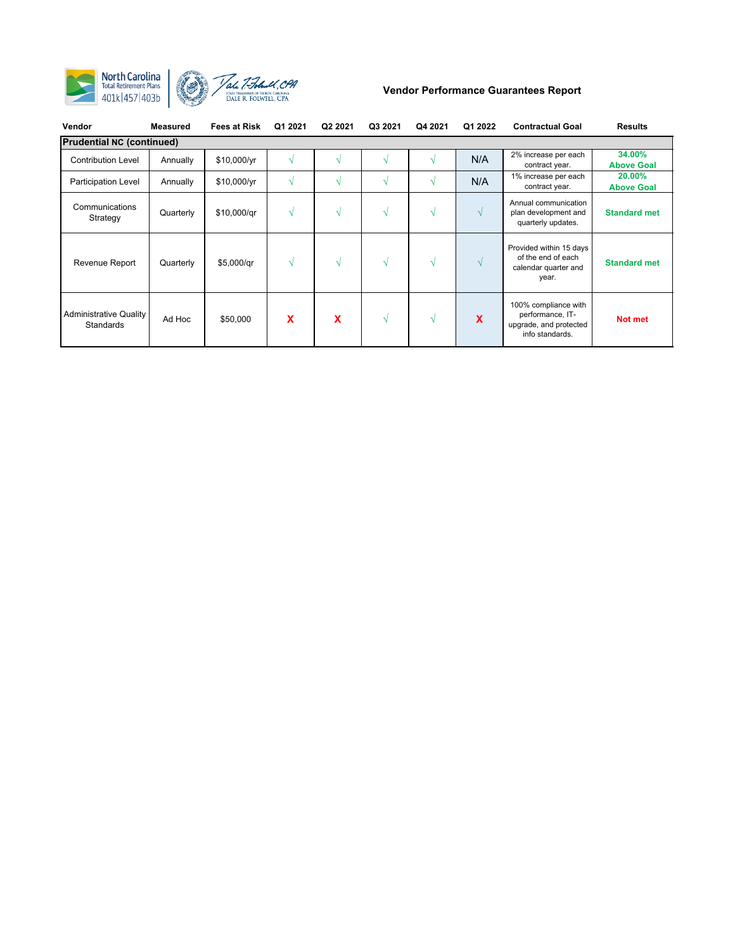

| Vendor                              | Measured  | <b>Fees at Risk</b> | Q1 2021                  | Q2 2021 | Q3 2021 | Q4 2021 | Q1 2022       | <b>Contractual Goal</b>                                                               | <b>Results</b>              |  |  |
|-------------------------------------|-----------|---------------------|--------------------------|---------|---------|---------|---------------|---------------------------------------------------------------------------------------|-----------------------------|--|--|
| <b>Prudential NC (continued)</b>    |           |                     |                          |         |         |         |               |                                                                                       |                             |  |  |
| <b>Contribution Level</b>           | Annually  | \$10,000/yr         | $\overline{\mathcal{N}}$ |         |         |         | N/A           | 2% increase per each<br>contract year.                                                | 34.00%<br><b>Above Goal</b> |  |  |
| <b>Participation Level</b>          | Annually  | \$10,000/yr         | N                        | N       | V       |         | N/A           | 1% increase per each<br>contract year.                                                | 20.00%<br><b>Above Goal</b> |  |  |
| Communications<br>Strategy          | Quarterly | \$10,000/gr         | V                        | V       | √       | N       | $\sqrt{ }$    | Annual communication<br>plan development and<br>quarterly updates.                    | <b>Standard met</b>         |  |  |
| Revenue Report                      | Quarterly | \$5,000/qr          | N                        | V       | √       | N       | $\mathcal{N}$ | Provided within 15 days<br>of the end of each<br>calendar quarter and<br>year.        | <b>Standard met</b>         |  |  |
| Administrative Quality<br>Standards | Ad Hoc    | \$50,000            | X                        | X       | √       | N       | X             | 100% compliance with<br>performance, IT-<br>upgrade, and protected<br>info standards. | Not met                     |  |  |